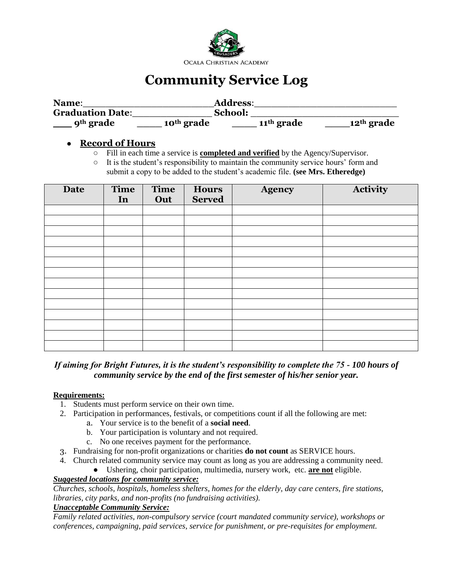

# **Community Service Log**

| Name:                   |                        | <b>Address:</b>        |                        |
|-------------------------|------------------------|------------------------|------------------------|
| <b>Graduation Date:</b> |                        | School:                |                        |
| 9 <sup>th</sup> grade   | 10 <sup>th</sup> grade | 11 <sup>th</sup> grade | 12 <sup>th</sup> grade |

### ● **Record of Hours**

- Fill in each time a service is **completed and verified** by the Agency/Supervisor.
- $\circ$  It is the student's responsibility to maintain the community service hours' form and submit a copy to be added to the student's academic file. **(see Mrs. Etheredge)**

| <b>Date</b> | <b>Time</b><br>In | <b>Time</b><br>Out | <b>Hours</b><br><b>Served</b> | <b>Agency</b> | Activity |
|-------------|-------------------|--------------------|-------------------------------|---------------|----------|
|             |                   |                    |                               |               |          |
|             |                   |                    |                               |               |          |
|             |                   |                    |                               |               |          |
|             |                   |                    |                               |               |          |
|             |                   |                    |                               |               |          |
|             |                   |                    |                               |               |          |
|             |                   |                    |                               |               |          |
|             |                   |                    |                               |               |          |
|             |                   |                    |                               |               |          |
|             |                   |                    |                               |               |          |
|             |                   |                    |                               |               |          |
|             |                   |                    |                               |               |          |
|             |                   |                    |                               |               |          |
|             |                   |                    |                               |               |          |

## *If aiming for Bright Futures, it is the student's responsibility to complete the 75 - 100 hours of community service by the end of the first semester of his/her senior year.*

#### **Requirements:**

- 1. Students must perform service on their own time.
- 2. Participation in performances, festivals, or competitions count if all the following are met:
	- a. Your service is to the benefit of a **social need**.
	- b. Your participation is voluntary and not required.
	- c. No one receives payment for the performance.
- 3. Fundraising for non-profit organizations or charities **do not count** as SERVICE hours.
- 4. Church related community service may count as long as you are addressing a community need.
	- Ushering, choir participation, multimedia, nursery work, etc. **are not** eligible.

#### *Suggested locations for community service:*

*Churches, schools, hospitals, homeless shelters, homes for the elderly, day care centers, fire stations, libraries, city parks, and non-profits (no fundraising activities).*

#### *Unacceptable Community Service:*

*Family related activities, non-compulsory service (court mandated community service), workshops or conferences, campaigning, paid services, service for punishment, or pre-requisites for employment.*